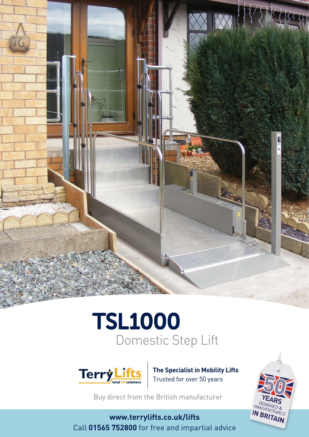



**The Specialist in Mobility Lifts** Trusted for over 50 years

Buy direct from the British manufacturer

**www.terrylifts.co.uk/lifts** Call **01565 752800** for free and impartial advice